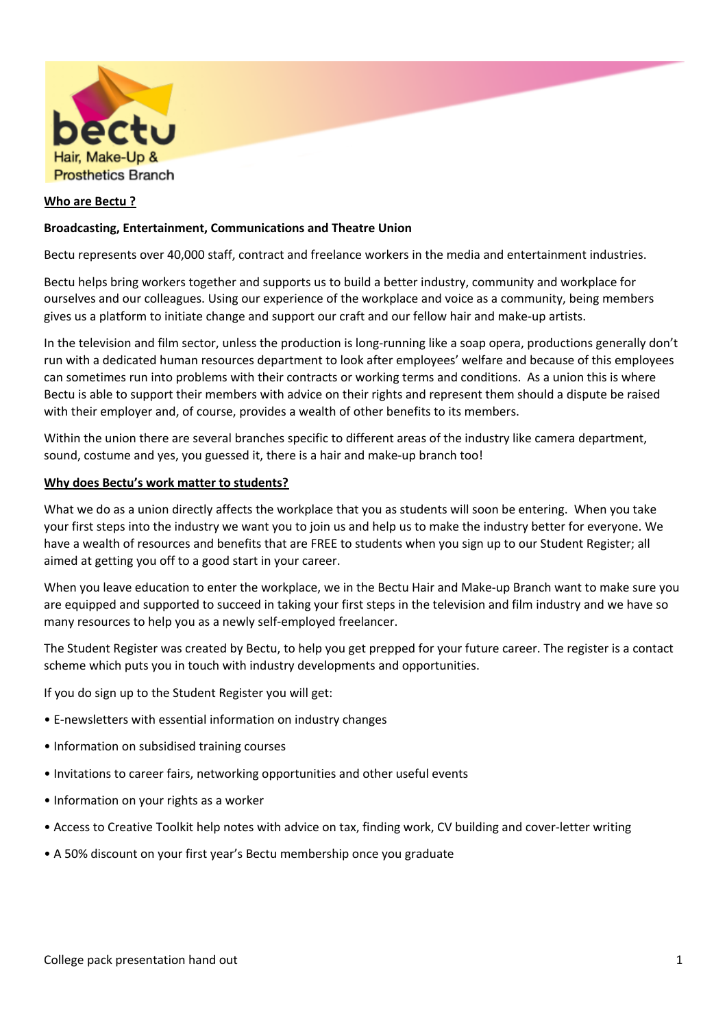

## **Who are Bectu ?**

## **Broadcasting, Entertainment, Communications and Theatre Union**

Bectu represents over 40,000 staff, contract and freelance workers in the media and entertainment industries.

Bectu helps bring workers together and supports us to build a better industry, community and workplace for ourselves and our colleagues. Using our experience of the workplace and voice as a community, being members gives us a platform to initiate change and support our craft and our fellow hair and make-up artists.

In the television and film sector, unless the production is long-running like a soap opera, productions generally don't run with a dedicated human resources department to look after employees' welfare and because of this employees can sometimes run into problems with their contracts or working terms and conditions. As a union this is where Bectu is able to support their members with advice on their rights and represent them should a dispute be raised with their employer and, of course, provides a wealth of other benefits to its members.

Within the union there are several branches specific to different areas of the industry like camera department, sound, costume and yes, you guessed it, there is a hair and make-up branch too!

#### **Why does Bectu's work matter to students?**

What we do as a union directly affects the workplace that you as students will soon be entering. When you take your first steps into the industry we want you to join us and help us to make the industry better for everyone. We have a wealth of resources and benefits that are FREE to students when you sign up to our Student Register; all aimed at getting you off to a good start in your career.

When you leave education to enter the workplace, we in the Bectu Hair and Make-up Branch want to make sure you are equipped and supported to succeed in taking your first steps in the television and film industry and we have so many resources to help you as a newly self-employed freelancer.

The Student Register was created by Bectu, to help you get prepped for your future career. The register is a contact scheme which puts you in touch with industry developments and opportunities.

If you do sign up to the Student Register you will get:

- E-newsletters with essential information on industry changes
- Information on subsidised training courses
- Invitations to career fairs, networking opportunities and other useful events
- Information on your rights as a worker
- Access to Creative Toolkit help notes with advice on tax, finding work, CV building and cover-letter writing
- A 50% discount on your first year's Bectu membership once you graduate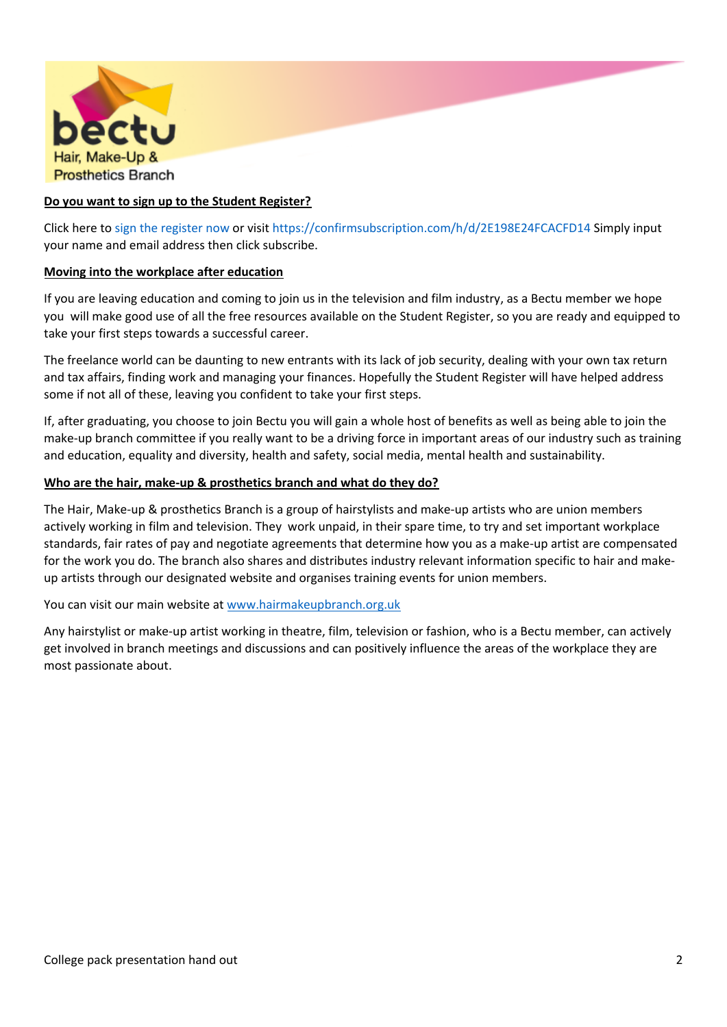

# **Do you want to sign up to the Student Register?**

Click here to sign the [register](https://confirmsubscription.com/h/d/2E198E24FCACFD14) now or visit <https://confirmsubscription.com/h/d/2E198E24FCACFD14> Simply input your name and email address then click subscribe.

### **Moving into the workplace after education**

If you are leaving education and coming to join us in the television and film industry, as a Bectu member we hope you will make good use of all the free resources available on the Student Register, so you are ready and equipped to take your first steps towards a successful career.

The freelance world can be daunting to new entrants with its lack of job security, dealing with your own tax return and tax affairs, finding work and managing your finances. Hopefully the Student Register will have helped address some if not all of these, leaving you confident to take your first steps.

If, after graduating, you choose to join Bectu you will gain a whole host of benefits as well as being able to join the make-up branch committee if you really want to be a driving force in important areas of our industry such as training and education, equality and diversity, health and safety, social media, mental health and sustainability.

#### **Who are the hair, make-up & prosthetics branch and what do they do?**

The Hair, Make-up & prosthetics Branch is a group of hairstylists and make-up artists who are union members actively working in film and television. They work unpaid, in their spare time, to try and set important workplace standards, fair rates of pay and negotiate agreements that determine how you as a make-up artist are compensated for the work you do. The branch also shares and distributes industry relevant information specific to hair and makeup artists through our designated website and organises training events for union members.

You can visit our main website at [www.hairmakeupbranch.org.uk](https://hairmakeupbranch.org.uk/)

Any hairstylist or make-up artist working in theatre, film, television or fashion, who is a Bectu member, can actively get involved in branch meetings and discussions and can positively influence the areas of the workplace they are most passionate about.